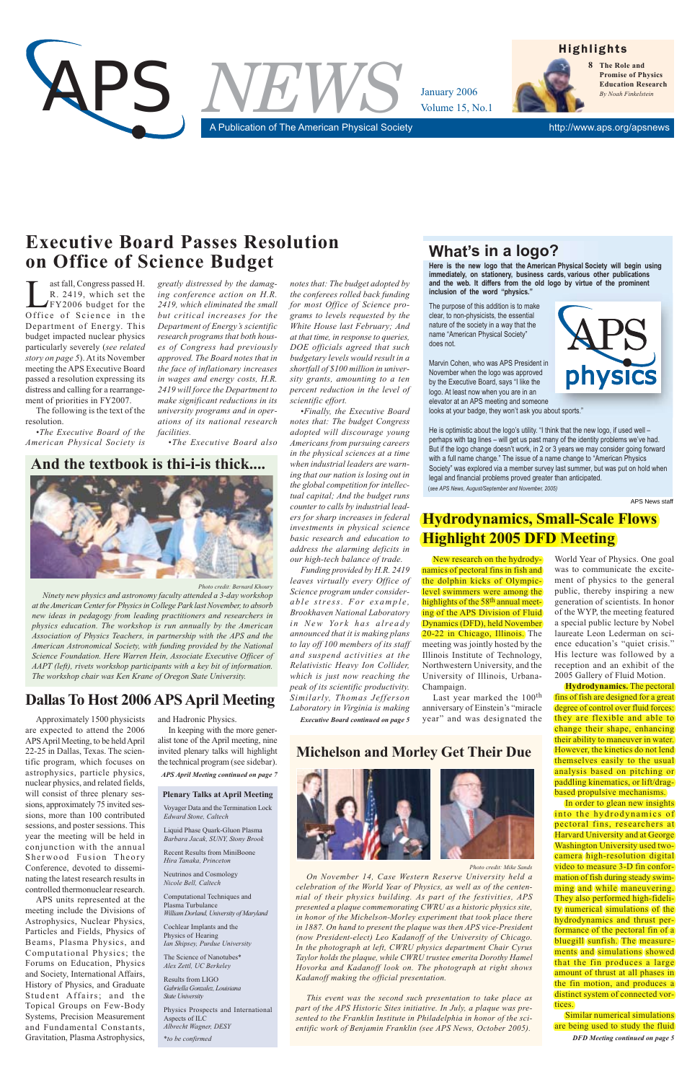*Photo credit: Bernard Khoury*

*Ninety new physics and astronomy faculty attended a 3-day workshop at the American Center for Physics in College Park last November, to absorb new ideas in pedagogy from leading practitioners and researchers in physics education. The workshop is run annually by the American Association of Physics Teachers, in partnership with the APS and the American Astronomical Society, with funding provided by the National Science Foundation. Here Warren Hein, Associate Executive Officer of AAPT (left), rivets workshop participants with a key bit of information. The workshop chair was Ken Krane of Oregon State University.*

# **And the textbook is thi-i-is thick....**



Approximately 1500 physicists are expected to attend the 2006 APS April Meeting, to be held April 22-25 in Dallas, Texas. The scientific program, which focuses on astrophysics, particle physics, nuclear physics, and related fields, will consist of three plenary sessions, approximately 75 invited sessions, more than 100 contributed sessions, and poster sessions. This year the meeting will be held in conjunction with the annual Sherwood Fusion Theory Conference, devoted to disseminating the latest research results in controlled thermonuclear research. APS units represented at the meeting include the Divisions of Astrophysics, Nuclear Physics, Particles and Fields, Physics of Beams, Plasma Physics, and Computational Physics; the Forums on Education, Physics and Society, International Affairs, History of Physics, and Graduate Student Affairs; and the Topical Groups on Few-Body Systems, Precision Measurement and Fundamental Constants, Gravitation, Plasma Astrophysics,

He is optimistic about the logo's utility. "I think that the new logo, if used well perhaps with tag lines – will get us past many of the identity problems we've had. But if the logo change doesn't work, in 2 or 3 years we may consider going forward with a full name change." The issue of a name change to "American Physics Society" was explored via a member survey last summer, but was put on hold when legal and financial problems proved greater than anticipated. (*seeAPSNews,August/SeptemberandNovember,2005)*

and Hadronic Physics.

ast fall, Congress passed H.<br>R. 2419, which set the<br>FY2006 budget for the R. 2419, which set the FY2006 budget for the Office of Science in the Department of Energy. This budget impacted nuclear physics particularly severely (*see related story on page 5*). At its November meeting the APS Executive Board passed a resolution expressing its distress and calling for a rearrangement of priorities in FY2007.

> In keeping with the more generalist tone of the April meeting, nine invited plenary talks will highlight the technical program (see sidebar). *APS April Meeting continued on page 7*

# **Dallas To Host 2006 APS April Meeting**

APS News staff

# **What's in a logo?**

Here is the new logo that the American Physical Society will begin using immediately, on stationery, business cards, various other publications and the web. It differs from the old logo by virtue of the prominent inclusion of the word "physics."

The purpose of this addition is to make clear, to non-physicists, the essential nature of the society in a way that the name "American Physical Society" does not.

Marvin Cohen, who was APS President in November when the logo was approved by the Executive Board, says "I like the logo. At least now when you are in an elevator at an APS meeting and someone looks at your badge, they won't ask you about sports."



The following is the text of the resolution.

*•The Executive Board of the American Physical Society is*



# **Executive Board Passes Resolution on Office of Science Budget**

Last year marked the 100<sup>th</sup> anniversary of Einstein's "miracle year" and was designated the

*greatly distressed by the damaging conference action on H.R. 2419, which eliminated the small but critical increases for the Department of Energy's scientific research programs that both houses of Congress had previously approved. The Board notes that in the face of inflationary increases in wages and energy costs, H.R. 2419 will force the Department to make significant reductions in its university programs and in operations of its national research facilities.*

*•The Executive Board also*

*notes that: The budget adopted by the conferees rolled back funding for most Office of Science programs to levels requested by the White House last February; And at that time, in response to queries, DOE officials agreed that such budgetary levels would result in a shortfall of \$100 million in university grants, amounting to a ten percent reduction in the level of scientific effort.*

*•Finally, the Executive Board notes that: The budget Congress adopted will discourage young Americans from pursuing careers in the physical sciences at a time when industrial leaders are warning that our nation is losing out in the global competition for intellectual capital; And the budget runs counter to calls by industrial leaders for sharp increases in federal investments in physical science basic research and education to address the alarming deficits in our high-tech balance of trade.*

*Funding provided by H.R. 2419 leaves virtually every Office of Science program under considerable stress. For example, Brookhaven National Laboratory in New York has already announced that it is making plans to lay off 100 members of its staff and suspend activities at the Relativistic Heavy Ion Collider, which is just now reaching the peak of its scientific productivity. Similarly, Thomas Jefferson Laboratory in Virginia is making*

*Executive Board continued on page 5*

#### *Photo credit: Mike Sands*

*On November 14, Case Western Reserve University held a celebration of the World Year of Physics, as well as of the centennial of their physics building. As part of the festivities, APS presented a plaque commemorating CWRU as a historic physics site, in honor of the Michelson-Morley experiment that took place there in 1887. On hand to present the plaque was then APS vice-President (now President-elect) Leo Kadanoff of the University of Chicago. In the photograph at left, CWRU physics department Chair Cyrus Taylor holds the plaque, while CWRU trustee emerita Dorothy Hamel Hovorka and Kadanoff look on. The photograph at right shows Kadanoff making the official presentation.*

*This event was the second such presentation to take place as part of the APS Historic Sites initiative. In July, a plaque was presented to the Franklin Institute in Philadelphia in honor of the scientific work of Benjamin Franklin (see APS News, October 2005).*

# **Michelson and Morley Get Their Due**



Voyager Data and the Termination Lock *Edward Stone, Caltech*

Liquid Phase Quark-Gluon Plasma *Barbara Jacak, SUNY, Stony Brook*

Recent Results from MiniBoone *Hira Tanaka, Princeton*

Neutrinos and Cosmology *Nicole Bell, Caltech*

Computational Techniques and Plasma Turbulance *William Dorland, University of Maryland*

Cochlear Implants and the Physics of Hearing *Ian Shipsey, Purdue University*

The Science of Nanotubes\* *Alex Zettl, UC Berkeley*

Results from LIGO *Gabriella Gonzalez, Louisiana State University*

Physics Prospects and International Aspects of ILC *Albrecht Wagner, DESY*

*\*to be confirmed*

**Plenary Talks at April Meeting**

# **Hydrodynamics, Small-Scale Flows Highlight 2005 DFD Meeting**

New research on the hydrodynamics of pectoral fins in fish and the dolphin kicks of Olympiclevel swimmers were among the highlights of the 58<sup>th</sup> annual meeting of the APS Division of Fluid Dynamics (DFD), held November 20-22 in Chicago, Illinois. The meeting was jointly hosted by the Illinois Institute of Technology, Northwestern University, and the University of Illinois, Urbana-Champaign.

> *DFD Meeting continued on page 5* Similar numerical simulations are being used to study the fluid

> World Year of Physics. One goal was to communicate the excitement of physics to the general public, thereby inspiring a new generation of scientists. In honor of the WYP, the meeting featured a special public lecture by Nobel laureate Leon Lederman on science education's "quiet crisis." His lecture was followed by a reception and an exhibit of the 2005 Gallery of Fluid Motion.

> **Hydrodynamics.** The pectoral fins of fish are designed for a great degree of control over fluid forces: they are flexible and able to change their shape, enhancing their ability to maneuver in water. However, the kinetics do not lend themselves easily to the usual analysis based on pitching or paddling kinematics, or lift/dragbased propulsive mechanisms.

# In order to glean new insights

into the hydrodynamics of pectoral fins, researchers at Harvard University and at George Washington University used twocamera high-resolution digital video to measure 3-D fin conformation of fish during steady swimming and while maneuvering. They also performed high-fideli- $(ty)$ numerical simulations  $of$  (the) hydrodynamics and thrust performance of the pectoral fin of a (bluegill) sunfish. The measurements and simulations showed that the fin produces a large amount of thrust at all phases in the fin motion, and produces a distinct system of connected vortices.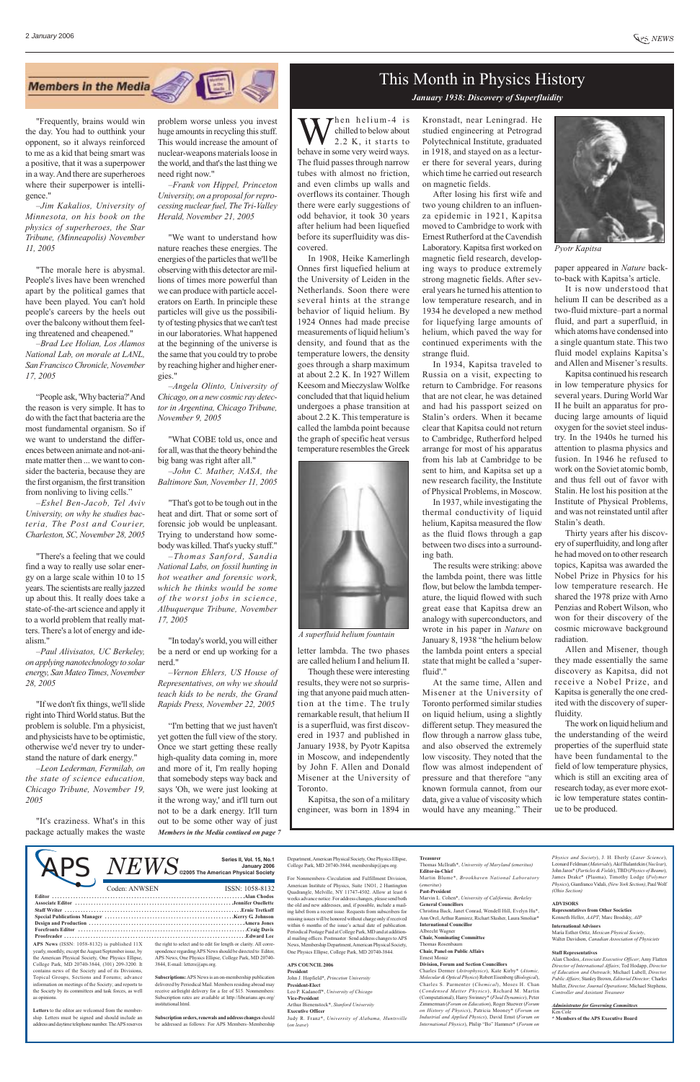# This Month in Physics History

#### *January 1938: Discovery of Superfluidity*

 $\overline{N}E\overline{WS}$   $^{Series II, Vol. 15, No.1}_{\substack{\text{January } 2006 \text{ January 2006}}}$ American Physical Society, One Physics Ellipse, College Park, MD 20740-3844, membership@aps.org.

**APS News** (ISSN: 1058-8132) is published 11X yearly, monthly, except the August/September issue, by the American Physical Society, One Physics Ellipse, College Park, MD 20740-3844, (301) 209-3200. It contains news of the Society and of its Divisions, Topical Groups, Sections and Forums; advance information on meetings of the Society; and reports to the Society by its committees and task forces, as well as opinions.

**Letters** to the editor are welcomed from the membership. Letters must be signed and should include an address and daytime telephone number. The APS reserves

the right to select and to edit for length or clarity. All correspondence regarding APS News should be directed to: Editor,

APS News, One Physics Ellipse, College Park, MD 20740- 3844, E-mail: letters@aps.org. **Subscriptions:**APS News is an on-membership publication delivered by Periodical Mail. Members residing abroad may

receive airfreight delivery for a fee of \$15. Nonmembers: Subscription rates are available at http://librarians.aps.org/ institutional.html.

**Subscription orders, renewals and address changes** should be addressed as follows: For APS Members–Membership For Nonmembers–Circulation and Fulfillment Division, American Institute of Physics, Suite 1NO1, 2 Huntington Quadrangle, Melville, NY 11747-4502. Allow at least 6 weeks advance notice. For address changes, please send both the old and new addresses, and, if possible, include a mailing label from a recent issue. Requests from subscribers for missing issues will be honored without charge only if received within 6 months of the issue's actual date of publication. Periodical Postage Paid at College Park, MD and at additional mailing offices. Postmaster: Send address changes to APS News, Membership Department, American Physical Society, One Physics Ellipse, College Park, MD 20740-3844.

Then helium-4 is chilled to below about 2.2 K, it starts to behave in some very weird ways. The fluid passes through narrow tubes with almost no friction, and even climbs up walls and overflows its container. Though there were early suggestions of odd behavior, it took 30 years after helium had been liquefied before its superfluidity was discovered.

#### **APS COUNCIL 2006 President**

John J. Hopfield\*, *Princeton University* **President-Elect** Leo P. Kadanoff\*, *University of Chicago* **Vice-President** Arthur Bienenstock\*, *Stanford University*

#### **Executive Officer**

Judy R. Franz\*, *University of Alabama, Huntsville*  (*on leave*)

#### **Treasurer**

Thomas McIlrath\*, *University of Maryland (emeritus)* **Editor-in-Chief**

Martin Blume\*, *Brookhaven National Laboratory* (*emeritus*)

#### **Past-President**

Marvin L. Cohen\*, *University of California, Berkeley* **General Councillors**

Christina Back, Janet Conrad, Wendell Hill, Evelyn Hu\*, Ann Orel, Arthur Ramirez, Richart Slusher, Laura Smoliar\*

#### **International Councillor**

Albrecht Wagner **Chair, Nominating Committee**

Thomas Rosenbaum

**Chair, Panel on Public Affairs**

Ernest Moniz

#### **Division, Forum and Section Councillors**

Charles Dermer (*Astrophysics*), Kate Kirby\* (*Atomic, Molecular & Optical Physics*) Robert Eisenberg (*Biological*), Charles S. Parmenter (*Chemical*), Moses H. Chan (*Condensed Matter Physics*), Richard M. Martin (Computational), Harry Swinney\* (*Fluid Dynamics*), Peter Zimmerman (*Forum on Education*), Roger Stuewer (*Forum on History of Physics*), Patricia Mooney\* (*Forum on Industrial and Applied Physics*), David Ernst (*Forum on International Physics*), Philip "Bo" Hammer\* (*Forum on*

*Physics and Society*), J. H. Eberly (*Laser Science*), Leonard Feldman (*Materials*), Akif Balantekin (*Nuclear*), John Jaros\* (*Particles & Fields*), TBD (*Physics of Beams*), James Drake\* (Plasma), Timothy Lodge (*Polymer Physics*), Gianfranco Vidali, *(New York Section)*, Paul Wolf *(Ohio Section)*

#### **ADVISORS**

**Representatives from Other Societies** Kenneth Heller, *AAPT*; Marc Brodsky, *AIP*

#### **International Advisors**

María Esther Ortiz, *Mexican Physical Society*, Walter Davidson, *Canadian Association of Physicists*

#### **Staff Representatives**

Alan Chodos, *Associate Executive Officer*; Amy Flatten *Director of International Affairs*; Ted Hodapp, *Director of Education and Outreach*; Michael Lubell, *Director, Public Affairs*; Stanley Brown, *Editorial Director;* Charles Muller, *Director, Journal Operations*; Michael Stephens, *Controller and Assistant Treasurer*

#### *Administrator for Governing Committees* Ken Cole

**\* Members of the APS Executive Board**

In 1908, Heike Kamerlingh Onnes first liquefied helium at the University of Leiden in the Netherlands. Soon there were several hints at the strange behavior of liquid helium. By 1924 Onnes had made precise measurements of liquid helium's density, and found that as the temperature lowers, the density goes through a sharp maximum at about 2.2 K. In 1927 Willem Keesom and Mieczyslaw Wolfke concluded that that liquid helium undergoes a phase transition at about 2.2 K. This temperature is called the lambda point because the graph of specific heat versus temperature resembles the Greek

letter lambda. The two phases are called helium I and helium II. Though these were interesting results, they were not so surprising that anyone paid much attention at the time. The truly remarkable result, that helium II is a superfluid, was first discovered in 1937 and published in January 1938, by Pyotr Kapitsa in Moscow, and independently by John F. Allen and Donald Misener at the University of Toronto.

Kapitsa, the son of a military engineer, was born in 1894 in Kronstadt, near Leningrad. He studied engineering at Petrograd Polytechnical Institute, graduated in 1918, and stayed on as a lecturer there for several years, during which time he carried out research on magnetic fields.

After losing his first wife and two young children to an influenza epidemic in 1921, Kapitsa moved to Cambridge to work with Ernest Rutherford at the Cavendish Laboratory. Kapitsa first worked on magnetic field research, developing ways to produce extremely strong magnetic fields. After several years he turned his attention to low temperature research, and in 1934 he developed a new method for liquefying large amounts of helium, which paved the way for continued experiments with the strange fluid.

#### **Editor . . . . . . . . . . . . . . . . . . . . . . . . . . . . . . . . . . . . . . . . . . . . . . . . . . . . . . . . . . . . . . . . . . . . . . . . .Alan Chodos Associate Editor . . . . . . . . . . . . . . . . . . . . . . . . . . . . . . . . . . . . . . . . . . . . . . . . . . . . . . . . . . . .Jennifer Ouellette Staff Writer . . . . . . . . . . . . . . . . . . . . . . . . . . . . . . . . . . . . . . . . . . . . . . . . . . . . . . . . . . . . . . . . . . .Ernie Tretkoff Special Publications Manager . . . . . . . . . . . . . . . . . . . . . . . . . . . . . . . . . . . . . . . . . . . . . . . . .Kerry G. Johnson Design and Production . . . . . . . . . . . . . . . . . . . . . . . . . . . . . . . . . . . . . . . . . . . . . . . . . . . . . . . . . . .Amera Jones Forefronts Editor . . . . . . . . . . . . . . . . . . . . . . . . . . . . . . . . . . . . . . . . . . . . . . . . . . . . . . . . . . . . . . . .Craig Davis Proofreader . . . . . . . . . . . . . . . . . . . . . . . . . . . . . . . . . . . . . . . . . . . . . . . . . . . . . . . . . . . . . . . . . . . . .Edward Lee**  Coden: ANWSEN ISSN: 1058-8132 APS

In 1934, Kapitsa traveled to Russia on a visit, expecting to return to Cambridge. For reasons that are not clear, he was detained and had his passport seized on Stalin's orders. When it became clear that Kapitsa could not return to Cambridge, Rutherford helped arrange for most of his apparatus from his lab at Cambridge to be sent to him, and Kapitsa set up a new research facility, the Institute of Physical Problems, in Moscow.

In 1937, while investigating the thermal conductivity of liquid helium, Kapitsa measured the flow as the fluid flows through a gap between two discs into a surrounding bath.

The results were striking: above the lambda point, there was little flow, but below the lambda temperature, the liquid flowed with such great ease that Kapitsa drew an analogy with superconductors, and wrote in his paper in *Nature* on January 8, 1938 "the helium below the lambda point enters a special state that might be called a 'superfluid'."

At the same time, Allen and Misener at the University of Toronto performed similar studies on liquid helium, using a slightly different setup. They measured the flow through a narrow glass tube, and also observed the extremely low viscosity. They noted that the flow was almost independent of pressure and that therefore "any known formula cannot, from our

data, give a value of viscosity which would have any meaning." Their paper appeared in *Nature* backto-back with Kapitsa's article.

It is now understood that helium II can be described as a two-fluid mixture–part a normal fluid, and part a superfluid, in which atoms have condensed into a single quantum state. This two fluid model explains Kapitsa's and Allen and Misener's results.

Kapitsa continued his research in low temperature physics for several years. During World War II he built an apparatus for producing large amounts of liquid oxygen for the soviet steel industry. In the 1940s he turned his attention to plasma physics and fusion. In 1946 he refused to work on the Soviet atomic bomb, and thus fell out of favor with Stalin. He lost his position at the Institute of Physical Problems, and was not reinstated until after Stalin's death.

Thirty years after his discovery of superfluidity, and long after he had moved on to other research topics, Kapitsa was awarded the Nobel Prize in Physics for his low temperature research. He shared the 1978 prize with Arno Penzias and Robert Wilson, who won for their discovery of the cosmic microwave background radiation.

Allen and Misener, though they made essentially the same discovery as Kapitsa, did not receive a Nobel Prize, and Kapitsa is generally the one credited with the discovery of superfluidity.

The work on liquid helium and the understanding of the weird properties of the superfluid state have been fundamental to the field of low temperature physics, which is still an exciting area of research today, as ever more exot-

ic low temperature states continue to be produced.

"Frequently, brains would win the day. You had to outthink your opponent, so it always reinforced to me as a kid that being smart was a positive, that it was a superpower in a way. And there are superheroes where their superpower is intelligence."

*–Jim Kakalios, University of Minnesota, on his book on the physics of superheroes, the Star Tribune, (Minneapolis) November 11, 2005* 

"The morale here is abysmal. People's lives have been wrenched apart by the political games that have been played. You can't hold people's careers by the heels out over the balcony without them feeling threatened and cheapened."

*–Brad Lee Holian, Los Alamos National Lab, on morale at LANL, San Francisco Chronicle, November 17, 2005*

"People ask, 'Why bacteria?' And the reason is very simple. It has to do with the fact that bacteria are the most fundamental organism. So if we want to understand the differences between animate and not-animate matter then ... we want to consider the bacteria, because they are the first organism, the first transition from nonliving to living cells."

*–Eshel Ben-Jacob, Tel Aviv University, on why he studies bacteria, The Post and Courier, Charleston, SC, November 28, 2005*

"There's a feeling that we could find a way to really use solar energy on a large scale within 10 to 15 years. The scientists are really jazzed up about this. It really does take a state-of-the-art science and apply it to a world problem that really matters. There's a lot of energy and idealism."

*–Paul Alivisatos, UC Berkeley, on applying nanotechnology to solar energy, San Mateo Times, November 28, 2005*

"If we don't fix things, we'll slide right into Third World status. But the problem is soluble. I'm a physicist, and physicists have to be optimistic, otherwise we'd never try to understand the nature of dark energy."

*–Leon Lederman, Fermilab, on the state of science education, Chicago Tribune, November 19,*

*2005*

"It's craziness. What's in this package actually makes the waste

problem worse unless you invest huge amounts in recycling this stuff. This would increase the amount of nuclear-weapons materials loose in the world, and that's the last thing we need right now."

*–Frank von Hippel, Princeton University, on a proposal for reprocessing nuclear fuel, The Tri-Valley Herald, November 21, 2005* 

"We want to understand how nature reaches these energies. The energies of the particles that we'll be observing with this detector are millions of times more powerful than we can produce with particle accelerators on Earth. In principle these particles will give us the possibility of testing physics that we can't test in our laboratories. What happened at the beginning of the universe is the same that you could try to probe by reaching higher and higher energies."

*–Angela Olinto, University of Chicago, on a new cosmic ray detector in Argentina, Chicago Tribune, November 9, 2005*

"What COBE told us, once and for all, was that the theory behind the big bang was right after all."

*–John C. Mather, NASA, the Baltimore Sun, November 11, 2005*

"That's got to be tough out in the heat and dirt. That or some sort of forensic job would be unpleasant. Trying to understand how somebody was killed. That's yucky stuff."

*–Thomas Sanford, Sandia National Labs, on fossil hunting in hot weather and forensic work, which he thinks would be some of the worst jobs in science, Albuquerque Tribune, November 17, 2005*

"In today's world, you will either be a nerd or end up working for a nerd."

*–Vernon Ehlers, US House of Representatives, on why we should teach kids to be nerds, the Grand Rapids Press, November 22, 2005*

"I'm betting that we just haven't yet gotten the full view of the story. Once we start getting these really high-quality data coming in, more and more of it, I'm really hoping that somebody steps way back and says 'Oh, we were just looking at it the wrong way,' and it'll turn out not to be a dark energy. It'll turn out to be some other way of just *Members in the Media contiued on page 7*



*A superfluid helium fountain*



*Pyotr Kapitsa*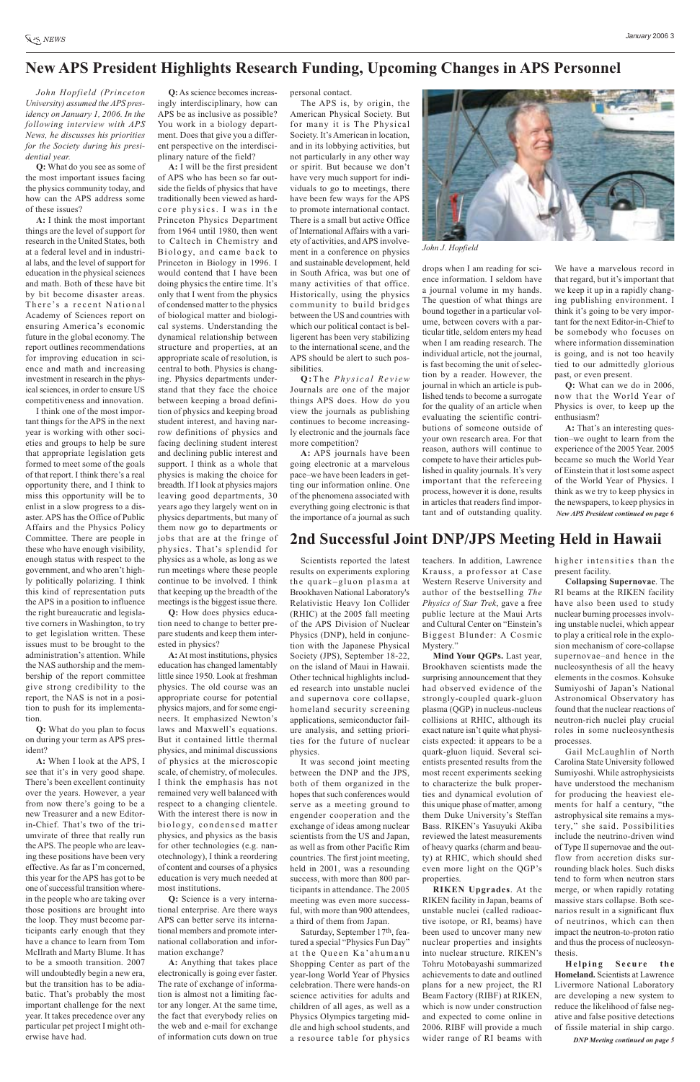*John Hopfield (Princeton University) assumed the APS presidency on January 1, 2006. In the following interview with APS News, he discusses his priorities for the Society during his presidential year.* 

**Q:** What do you see as some of the most important issues facing the physics community today, and how can the APS address some of these issues?

**A:** I think the most important things are the level of support for research in the United States, both at a federal level and in industrial labs, and the level of support for education in the physical sciences and math. Both of these have bit by bit become disaster areas. There's a recent National Academy of Sciences report on ensuring America's economic future in the global economy. The report outlines recommendations for improving education in science and math and increasing investment in research in the physical sciences, in order to ensure US competitiveness and innovation.

I think one of the most important things for the APS in the next year is working with other societies and groups to help be sure that appropriate legislation gets formed to meet some of the goals of that report. I think there's a real opportunity there, and I think to miss this opportunity will be to enlist in a slow progress to a disaster. APS has the Office of Public Affairs and the Physics Policy Committee. There are people in these who have enough visibility, enough status with respect to the government, and who aren't highly politically polarizing. I think this kind of representation puts the APS in a position to influence the right bureaucratic and legislative corners in Washington, to try to get legislation written. These issues must to be brought to the administration's attention. While the NAS authorship and the membership of the report committee give strong credibility to the report, the NAS is not in a position to push for its implementation.

**Q:** What do you plan to focus on during your term as APS president?

**A:** When I look at the APS, I see that it's in very good shape. There's been excellent continuity over the years. However, a year from now there's going to be a new Treasurer and a new Editorin-Chief. That's two of the triumvirate of three that really run the APS. The people who are leaving these positions have been very effective. As far as I'm concerned, this year for the APS has got to be one of successful transition wherein the people who are taking over those positions are brought into the loop. They must become participants early enough that they have a chance to learn from Tom McIlrath and Marty Blume. It has to be a smooth transition. 2007 will undoubtedly begin a new era, but the transition has to be adiabatic. That's probably the most important challenge for the next year. It takes precedence over any particular pet project I might otherwise have had.

**Q:**As science becomes increasingly interdisciplinary, how can APS be as inclusive as possible? You work in a biology department. Does that give you a different perspective on the interdisciplinary nature of the field?

**A:** I will be the first president of APS who has been so far outside the fields of physics that have traditionally been viewed as hardcore physics. I was in the Princeton Physics Department from 1964 until 1980, then went to Caltech in Chemistry and Biology, and came back to Princeton in Biology in 1996. I would contend that I have been doing physics the entire time. It's only that I went from the physics of condensed matter to the physics of biological matter and biological systems. Understanding the dynamical relationship between structure and properties, at an appropriate scale of resolution, is central to both. Physics is changing. Physics departments understand that they face the choice between keeping a broad definition of physics and keeping broad student interest, and having narrow definitions of physics and facing declining student interest and declining public interest and support. I think as a whole that physics is making the choice for breadth. If I look at physics majors leaving good departments, 30 years ago they largely went on in physics departments, but many of them now go to departments or jobs that are at the fringe of physics. That's splendid for physics as a whole, as long as we run meetings where these people continue to be involved. I think that keeping up the breadth of the meetings is the biggest issue there.

**Q:** How does physics education need to change to better prepare students and keep them interested in physics?

**A:**At most institutions, physics education has changed lamentably little since 1950. Look at freshman physics. The old course was an appropriate course for potential physics majors, and for some engineers. It emphasized Newton's laws and Maxwell's equations. But it contained little thermal physics, and minimal discussions of physics at the microscopic scale, of chemistry, of molecules. I think the emphasis has not remained very well balanced with respect to a changing clientele. With the interest there is now in biology, condensed matter physics, and physics as the basis for other technologies (e.g. nanotechnology), I think a reordering of content and courses of a physics education is very much needed at most institutions. **Q:** Science is a very international enterprise. Are there ways APS can better serve its international members and promote international collaboration and information exchange? **A:** Anything that takes place electronically is going ever faster. The rate of exchange of information is almost not a limiting factor any longer. At the same time, the fact that everybody relies on the web and e-mail for exchange of information cuts down on true

# **New APS President Highlights Research Funding, Upcoming Changes in APS Personnel**

personal contact.

The APS is, by origin, the American Physical Society. But for many it is The Physical Society. It's American in location, and in its lobbying activities, but not particularly in any other way or spirit. But because we don't have very much support for individuals to go to meetings, there have been few ways for the APS to promote international contact. There is a small but active Office of International Affairs with a variety of activities, and APS involvement in a conference on physics and sustainable development, held in South Africa, was but one of many activities of that office. Historically, using the physics community to build bridges between the US and countries with which our political contact is belligerent has been very stabilizing to the international scene, and the APS should be alert to such possibilities.

**Q :**The *Physical Review* Journals are one of the major things APS does. How do you view the journals as publishing continues to become increasingly electronic and the journals face more competition?

**A:** APS journals have been going electronic at a marvelous pace–we have been leaders in getting our information online. One of the phenomena associated with everything going electronic is that the importance of a journal as such drops when I am reading for science information. I seldom have a journal volume in my hands. The question of what things are bound together in a particular volume, between covers with a particular title, seldom enters my head when I am reading research. The individual article, not the journal, is fast becoming the unit of selection by a reader. However, the journal in which an article is published tends to become a surrogate for the quality of an article when evaluating the scientific contributions of someone outside of your own research area. For that reason, authors will continue to compete to have their articles published in quality journals. It's very important that the refereeing process, however it is done, results in articles that readers find important and of outstanding quality.

We have a marvelous record in that regard, but it's important that we keep it up in a rapidly changing publishing environment. I think it's going to be very important for the next Editor-in-Chief to be somebody who focuses on where information dissemination is going, and is not too heavily tied to our admittedly glorious past, or even present.

**Q:** What can we do in 2006, now that the World Year of Physics is over, to keep up the enthusiasm?

**A:** That's an interesting question–we ought to learn from the experience of the 2005 Year. 2005 became so much the World Year of Einstein that it lost some aspect of the World Year of Physics. I think as we try to keep physics in the newspapers, to keep physics in *New APS President continued on page 6*



*John J. Hopfield*

# **2nd Successful Joint DNP/JPS Meeting Held in Hawaii**

Scientists reported the latest results on experiments exploring the quark–gluon plasma at Brookhaven National Laboratory's Relativistic Heavy Ion Collider (RHIC) at the 2005 fall meeting of the APS Division of Nuclear Physics (DNP), held in conjunction with the Japanese Physical Society (JPS), September 18-22, on the island of Maui in Hawaii. Other technical highlights included research into unstable nuclei and supernova core collapse, homeland security screening applications, semiconductor failure analysis, and setting priorities for the future of nuclear physics.

It was second joint meeting between the DNP and the JPS, both of them organized in the hopes that such conferences would serve as a meeting ground to engender cooperation and the exchange of ideas among nuclear scientists from the US and Japan, as well as from other Pacific Rim countries. The first joint meeting, held in 2001, was a resounding success, with more than 800 participants in attendance. The 2005 meeting was even more successful, with more than 900 attendees, a third of them from Japan. Saturday, September 17th, featured a special "Physics Fun Day" at the Queen Ka'ahumanu Shopping Center as part of the year-long World Year of Physics celebration. There were hands-on science activities for adults and children of all ages, as well as a Physics Olympics targeting middle and high school students, and a resource table for physics teachers. In addition, Lawrence Krauss, a professor at Case Western Reserve University and author of the bestselling *The Physics of Star Trek*, gave a free public lecture at the Maui Arts and Cultural Center on "Einstein's Biggest Blunder: A Cosmic Mystery."

**Mind Your QGPs.** Last year, Brookhaven scientists made the surprising announcement that they had observed evidence of the strongly-coupled quark-gluon plasma (QGP) in nucleus-nucleus collisions at RHIC, although its exact nature isn't quite what physicists expected: it appears to be a quark-gluon liquid. Several scientists presented results from the most recent experiments seeking to characterize the bulk properties and dynamical evolution of this unique phase of matter, among them Duke University's Steffan Bass. RIKEN's Yasuyuki Akiba reviewed the latest measurements of heavy quarks (charm and beauty) at RHIC, which should shed even more light on the QGP's properties. **RIKEN Upgrades**. At the RIKEN facility in Japan, beams of unstable nuclei (called radioactive isotope, or RI, beams) have been used to uncover many new nuclear properties and insights into nuclear structure. RIKEN's Tohru Motobayashi summarized achievements to date and outlined plans for a new project, the RI Beam Factory (RIBF) at RIKEN, which is now under construction and expected to come online in 2006. RIBF will provide a much wider range of RI beams with higher intensities than the present facility.

**Collapsing Supernovae**. The RI beams at the RIKEN facility have also been used to study nuclear burning processes involving unstable nuclei, which appear to play a critical role in the explosion mechanism of core-collapse supernovae–and hence in the nucleosynthesis of all the heavy elements in the cosmos. Kohsuke Sumiyoshi of Japan's National Astronomical Observatory has found that the nuclear reactions of neutron-rich nuclei play crucial roles in some nucleosynthesis processes.

Gail McLaughlin of North Carolina State University followed Sumiyoshi. While astrophysicists have understood the mechanism for producing the heaviest elements for half a century, "the astrophysical site remains a mystery," she said. Possibilities include the neutrino-driven wind of Type II supernovae and the outflow from accretion disks surrounding black holes. Such disks tend to form when neutron stars merge, or when rapidly rotating massive stars collapse. Both scenarios result in a significant flux of neutrinos, which can then impact the neutron-to-proton ratio and thus the process of nucleosynthesis. **Helping Secure the Homeland.** Scientists at Lawrence Livermore National Laboratory are developing a new system to reduce the likelihood of false negative and false positive detections of fissile material in ship cargo. *DNP Meeting continued on page 5*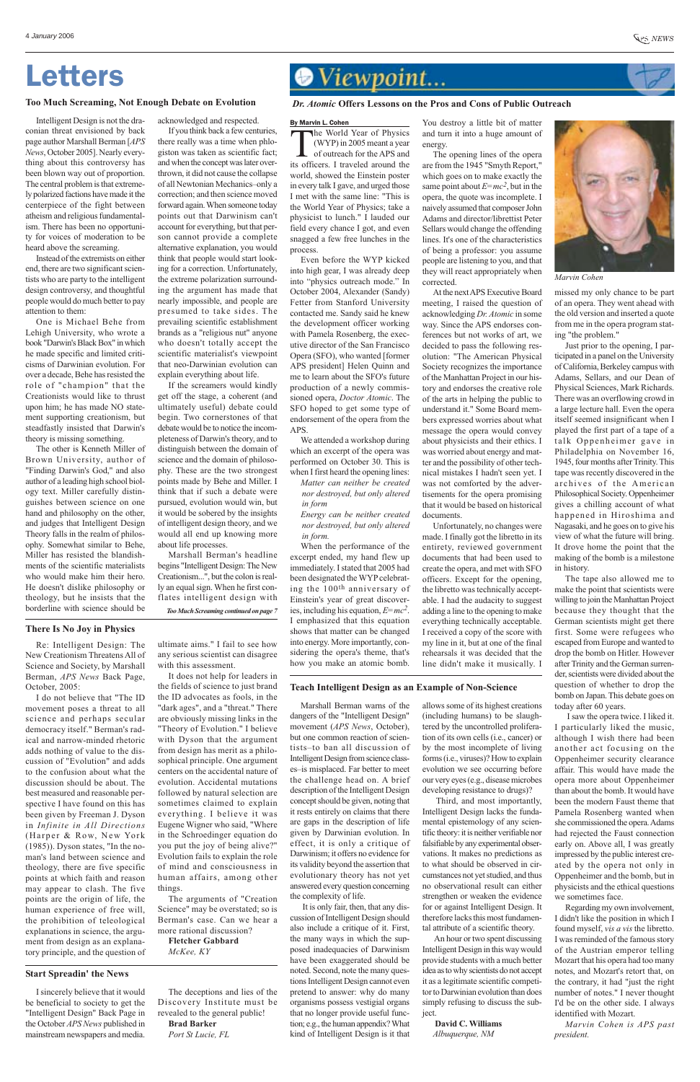# Letters

Re: Intelligent Design: The New Creationism Threatens All of Science and Society, by Marshall Berman, *APS News* Back Page, October, 2005:

I do not believe that "The ID movement poses a threat to all science and perhaps secular democracy itself." Berman's radical and narrow-minded rhetoric adds nothing of value to the discussion of "Evolution" and adds to the confusion about what the discussion should be about. The best measured and reasonable perspective I have found on this has been given by Freeman J. Dyson in *Infinite in All Directions* (Harper & Row, New York (1985)). Dyson states, "In the noman's land between science and theology, there are five specific points at which faith and reason may appear to clash. The five points are the origin of life, the human experience of free will, the prohibition of teleological explanations in science, the argument from design as an explanatory principle, and the question of

# Wiewpoint...

Marshall Berman warns of the dangers of the "Intelligent Design" movement (*APS News*, October), but one common reaction of scientists–to ban all discussion of Intelligent Design from science classes–is misplaced. Far better to meet the challenge head on. A brief description of the Intelligent Design concept should be given, noting that it rests entirely on claims that there are gaps in the description of life given by Darwinian evolution. In effect, it is only a critique of Darwinism; it offers no evidence for its validity beyond the assertion that evolutionary theory has not yet answered every question concerning the complexity of life. It is only fair, then, that any discussion of Intelligent Design should also include a critique of it. First, the many ways in which the supposed inadequacies of Darwinism have been exaggerated should be noted. Second, note the many questions Intelligent Design cannot even pretend to answer: why do many organisms possess vestigial organs that no longer provide useful function; e.g., the human appendix? What kind of Intelligent Design is it that

I sincerely believe that it would be beneficial to society to get the "Intelligent Design" Back Page in the October *APS News* published in mainstream newspapers and media.

#### ultimate aims." I fail to see how any serious scientist can disagree with this assessment.

The World Year of Physics<br>(WYP) in 2005 meant a year<br>of outreach for the APS and<br>its officers I traveled around the of outreach for the APS and its officers. I traveled around the world, showed the Einstein poster in every talk I gave, and urged those I met with the same line: "This is the World Year of Physics; take a physicist to lunch." I lauded our field every chance I got, and even snagged a few free lunches in the process.

It does not help for leaders in the fields of science to just brand the ID advocates as fools, in the "dark ages", and a "threat." There are obviously missing links in the "Theory of Evolution." I believe with Dyson that the argument from design has merit as a philosophical principle. One argument centers on the accidental nature of evolution. Accidental mutations followed by natural selection are sometimes claimed to explain everything. I believe it was Eugene Wigner who said, "Where in the Schroedinger equation do you put the joy of being alive?" Evolution fails to explain the role of mind and consciousness in human affairs, among other things.

The arguments of "Creation Science" may be overstated; so is Berman's case. Can we hear a more rational discussion? **Fletcher Gabbard**

*McKee, KY*

#### **There Is No Joy in Physics**



Third, and most importantly, Intelligent Design lacks the fundamental epistemology of any scientific theory: it is neither verifiable nor falsifiable by any experimental observations. It makes no predictions as to what should be observed in circumstances not yet studied, and thus no observational result can either strengthen or weaken the evidence for or against Intelligent Design. It therefore lacks this most fundamental attribute of a scientific theory.

An hour or two spent discussing Intelligent Design in this way would provide students with a much better idea as to why scientists do not accept it as a legitimate scientific competitor to Darwinian evolution than does simply refusing to discuss the subject.

#### **David C. Williams**

*Albuquerque, NM*

#### **Start Spreadin' the News**

#### **Teach Intelligent Design as an Example of Non-Science**

#### By Marvin L. Cohen

(WYP) in 2005 meant a year

Even before the WYP kicked into high gear, I was already deep into "physics outreach mode." In October 2004, Alexander (Sandy) Fetter from Stanford University contacted me. Sandy said he knew the development officer working with Pamela Rosenberg, the executive director of the San Francisco Opera (SFO), who wanted [former APS president] Helen Quinn and me to learn about the SFO's future production of a newly commissioned opera, *Doctor Atomic*. The SFO hoped to get some type of endorsement of the opera from the APS.

We attended a workshop during which an excerpt of the opera was performed on October 30. This is when I first heard the opening lines: *Matter can neither be created nor destroyed, but only altered*

*in form Energy can be neither created nor destroyed, but only altered*

*in form.* When the performance of the excerpt ended, my hand flew up immediately. I stated that 2005 had been designated the WYP celebrating the 100th anniversary of Einstein's year of great discoveries, including his equation, *E=mc2*. I emphasized that this equation

shows that matter can be changed into energy. More importantly, considering the opera's theme, that's how you make an atomic bomb.

You destroy a little bit of matter and turn it into a huge amount of energy.

The opening lines of the opera are from the 1945 "Smyth Report," which goes on to make exactly the same point about  $E=mc^2$ , but in the opera, the quote was incomplete. I naively assumed that composer John Adams and director/librettist Peter Sellars would change the offending lines. It's one of the characteristics of being a professor: you assume people are listening to you, and that they will react appropriately when corrected.

At the next APS Executive Board meeting, I raised the question of acknowledging *Dr. Atomic* in some way. Since the APS endorses conferences but not works of art, we decided to pass the following resolution: "The American Physical Society recognizes the importance of the Manhattan Project in our history and endorses the creative role of the arts in helping the public to understand it." Some Board members expressed worries about what message the opera would convey about physicists and their ethics. I was worried about energy and matter and the possibility of other technical mistakes I hadn't seen yet. I was not comforted by the advertisements for the opera promising that it would be based on historical documents.

Unfortunately, no changes were made. I finally got the libretto in its entirety, reviewed government documents that had been used to create the opera, and met with SFO officers. Except for the opening, the libretto was technically acceptable. I had the audacity to suggest adding a line to the opening to make everything technically acceptable. I received a copy of the score with my line in it, but at one of the final rehearsals it was decided that the line didn't make it musically. I missed my only chance to be part of an opera. They went ahead with the old version and inserted a quote from me in the opera program stating "the problem."

Just prior to the opening, I participated in a panel on the University of California, Berkeley campus with Adams, Sellars, and our Dean of Physical Sciences, Mark Richards. There was an overflowing crowd in a large lecture hall. Even the opera itself seemed insignificant when I played the first part of a tape of a talk Oppenheimer gave in Philadelphia on November 16, 1945, four months after Trinity. This tape was recently discovered in the archives of the American Philosophical Society. Oppenheimer gives a chilling account of what happened in Hiroshima and Nagasaki, and he goes on to give his view of what the future will bring. It drove home the point that the making of the bomb is a milestone in history.

The tape also allowed me to make the point that scientists were willing to join the Manhattan Project because they thought that the German scientists might get there first. Some were refugees who escaped from Europe and wanted to drop the bomb on Hitler. However after Trinity and the German surrender, scientists were divided about the question of whether to drop the bomb on Japan. This debate goes on today after 60 years.

I saw the opera twice. I liked it. I particularly liked the music, although I wish there had been another act focusing on the Oppenheimer security clearance affair. This would have made the opera more about Oppenheimer than about the bomb. It would have been the modern Faust theme that Pamela Rosenberg wanted when she commissioned the opera. Adams had rejected the Faust connection early on. Above all, I was greatly impressed by the public interest created by the opera not only in Oppenheimer and the bomb, but in physicists and the ethical questions we sometimes face. Regarding my own involvement, I didn't like the position in which I found myself, *vis a vis* the libretto. I was reminded of the famous story of the Austrian emperor telling Mozart that his opera had too many notes, and Mozart's retort that, on the contrary, it had "just the right number of notes." I never thought I'd be on the other side. I always identified with Mozart.

*Marvin Cohen is APS past president.*

#### *Dr. Atomic* **Offers Lessons on the Pros and Cons of Public Outreach**



*Marvin Cohen*

Intelligent Design is not the draconian threat envisioned by back page author Marshall Berman [*APS News*, October 2005]. Nearly everything about this controversy has been blown way out of proportion. The central problem is that extremely polarized factions have made it the centerpiece of the fight between atheism and religious fundamentalism. There has been no opportunity for voices of moderation to be heard above the screaming.

Instead of the extremists on either end, there are two significant scientists who are party to the intelligent design controversy, and thoughtful people would do much better to pay attention to them:

One is Michael Behe from Lehigh University, who wrote a book "Darwin's Black Box" in which he made specific and limited criticisms of Darwinian evolution. For over a decade, Behe has resisted the role of "champion" that the Creationists would like to thrust upon him; he has made NO statement supporting creationism, but steadfastly insisted that Darwin's theory is missing something.

The other is Kenneth Miller of Brown University, author of "Finding Darwin's God," and also author of a leading high school biology text. Miller carefully distinguishes between science on one hand and philosophy on the other, and judges that Intelligent Design Theory falls in the realm of philosophy. Somewhat similar to Behe, Miller has resisted the blandishments of the scientific materialists who would make him their hero. He doesn't dislike philosophy or theology, but he insists that the borderline with science should be

#### **Too Much Screaming, Not Enough Debate on Evolution**

acknowledged and respected. If you think back a few centuries,

there really was a time when phlogiston was taken as scientific fact; and when the concept was later overthrown, it did not cause the collapse of all Newtonian Mechanics–only a correction; and then science moved forward again. When someone today points out that Darwinism can't account for everything, but that person cannot provide a complete alternative explanation, you would think that people would start looking for a correction. Unfortunately, the extreme polarization surrounding the argument has made that nearly impossible, and people are presumed to take sides. The prevailing scientific establishment brands as a "religious nut" anyone who doesn't totally accept the scientific materialist's viewpoint that neo-Darwinian evolution can explain everything about life.

If the screamers would kindly get off the stage, a coherent (and ultimately useful) debate could begin. Two cornerstones of that debate would be to notice the incompleteness of Darwin's theory, and to distinguish between the domain of science and the domain of philosophy. These are the two strongest points made by Behe and Miller. I think that if such a debate were pursued, evolution would win, but it would be sobered by the insights of intelligent design theory, and we would all end up knowing more about life processes.

Marshall Berman's headline begins "Intelligent Design: The New Creationism...", but the colon is really an equal sign. When he first conflates intelligent design with

*Too Much Screaming continued on page 7*

The deceptions and lies of the Discovery Institute must be revealed to the general public!

#### **Brad Barker**

*Port St Lucie, FL*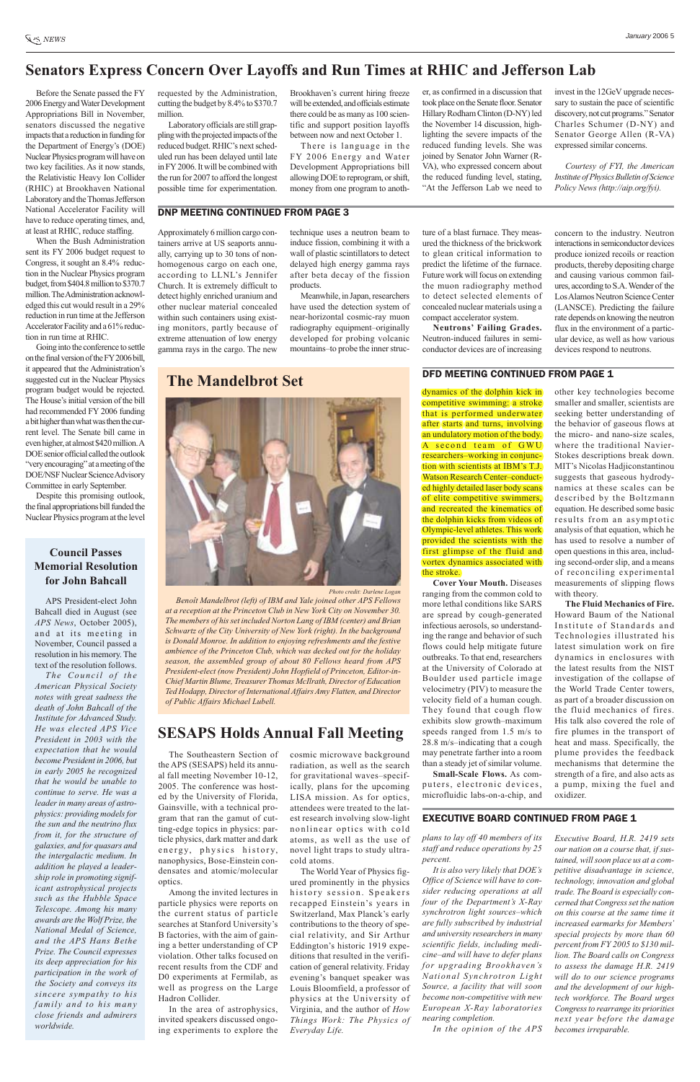# **SESAPS Holds Annual Fall Meeting**

The Southeastern Section of the APS (SESAPS) held its annual fall meeting November 10-12, 2005. The conference was hosted by the University of Florida, Gainsville, with a technical program that ran the gamut of cutting-edge topics in physics: particle physics, dark matter and dark energy, physics history, nanophysics, Bose-Einstein condensates and atomic/molecular optics. Among the invited lectures in particle physics were reports on the current status of particle searches at Stanford University's B factories, with the aim of gaining a better understanding of CP violation. Other talks focused on recent results from the CDF and D0 experiments at Fermilab, as well as progress on the Large Hadron Collider. In the area of astrophysics, invited speakers discussed ongoing experiments to explore the cosmic microwave background radiation, as well as the search for gravitational waves–specifically, plans for the upcoming LISA mission. As for optics, attendees were treated to the latest research involving slow-light nonlinear optics with cold atoms, as well as the use of novel light traps to study ultracold atoms. The World Year of Physics figured prominently in the physics history session. Speakers recapped Einstein's years in Switzerland, Max Planck's early contributions to the theory of special relativity, and Sir Arthur Eddington's historic 1919 expeditions that resulted in the verification of general relativity. Friday evening's banquet speaker was Louis Bloomfield, a professor of physics at the University of Virginia, and the author of *How Things Work: The Physics of Everyday Life.*

Before the Senate passed the FY 2006 Energy and Water Development Appropriations Bill in November, senators discussed the negative impacts that a reduction in funding for the Department of Energy's (DOE) Nuclear Physics program will have on two key facilities. As it now stands, the Relativistic Heavy Ion Collider (RHIC) at Brookhaven National Laboratory and the Thomas Jefferson National Accelerator Facility will have to reduce operating times, and, at least at RHIC, reduce staffing.

When the Bush Administration sent its FY 2006 budget request to Congress, it sought an 8.4% reduction in the Nuclear Physics program budget, from \$404.8 million to \$370.7 million. The Administration acknowledged this cut would result in a 29% reduction in run time at the Jefferson Accelerator Facility and a 61% reduction in run time at RHIC.

Going into the conference to settle on the final version of the FY2006 bill, it appeared that the Administration's suggested cut in the Nuclear Physics program budget would be rejected. The House's initial version of the bill had recommended FY 2006 funding a bit higher than what was then the current level. The Senate bill came in even higher, at almost \$420 million. A DOE senior official called the outlook "very encouraging" at a meeting of the DOE/NSF Nuclear Science Advisory Committee in early September.

Despite this promising outlook, the final appropriations bill funded the Nuclear Physics program at the level

## **Senators Express Concern Over Layoffs and Run Times at RHIC and Jefferson Lab**

requested by the Administration, cutting the budget by 8.4% to \$370.7 million.

Laboratory officials are still grappling with the projected impacts of the reduced budget. RHIC's next scheduled run has been delayed until late in FY2006. It will be combined with the run for 2007 to afford the longest possible time for experimentation.

Brookhaven's current hiring freeze will be extended, and officials estimate there could be as many as 100 scientific and support position layoffs between now and next October 1.

There is language in the FY 2006 Energy and Water Development Appropriations bill allowing DOE to reprogram, or shift, money from one program to anoth-

APS President-elect John Bahcall died in August (see *APS News*, October 2005), and at its meeting in November, Council passed a resolution in his memory. The text of the resolution follows. dynamics of the dolphin kick in competitive swimming: a stroke that is performed underwater after starts and turns, involving an undulatory motion of the body. A second team of GWU researchers–working in conjunction with scientists at IBM's T.J. Watson Research Center–conducted highly detailed laser body scans of elite competitive swimmers, and recreated the kinematics of the dolphin kicks from videos of Olympic-level athletes. This work provided the scientists with the first glimpse of the fluid and vortex dynamics associated with the stroke.

*The Council of the American Physical Society notes with great sadness the death of John Bahcall of the Institute for Advanced Study. He was elected APS Vice President in 2003 with the expectation that he would become President in 2006, but in early 2005 he recognized that he would be unable to continue to serve. He was a leader in many areas of astrophysics: providing models for the sun and the neutrino flux from it, for the structure of galaxies, and for quasars and the intergalactic medium. In addition he played a leadership role in promoting significant astrophysical projects such as the Hubble Space Telescope. Among his many awards are the Wolf Prize, the National Medal of Science, and the APS Hans Bethe Prize. The Council expresses its deep appreciation for his participation in the work of the Society and conveys its sincere sympathy to his family and to his many close friends and admirers worldwide.*

### **Council Passes Memorial Resolution for John Bahcall**

er, as confirmed in a discussion that took place on the Senate floor. Senator Hillary Rodham Clinton (D-NY) led the November 14 discussion, highlighting the severe impacts of the reduced funding levels. She was joined by Senator John Warner (R-VA), who expressed concern about the reduced funding level, stating, "At the Jefferson Lab we need to invest in the 12GeV upgrade necessary to sustain the pace of scientific discovery, not cut programs." Senator Charles Schumer (D-NY) and Senator George Allen (R-VA) expressed similar concerns.

*Courtesy of FYI, the American Institute of Physics Bulletin of Science Policy News (http://aip.org/fyi).*

*plans to lay off 40 members of its staff and reduce operations by 25 percent.*

*It is also very likely that DOE's Office of Science will have to consider reducing operations at all four of the Department's X-Ray synchrotron light sources–which are fully subscribed by industrial and university researchers in many scientific fields, including medicine–and will have to defer plans for upgrading Brookhaven's National Synchrotron Light Source, a facility that will soon become non-competitive with new European X-Ray laboratories nearing completion.*

*In the opinion of the APS*

*Executive Board, H.R. 2419 sets our nation on a course that, if sustained, will soon place us at a competitive disadvantage in science, technology, innovation and global trade. The Board is especially concerned that Congress set the nation on this course at the same time it increased earmarks for Members' special projects by more than 60 percent from FY 2005 to \$130 million. The Board calls on Congress to assess the damage H.R. 2419 will do to our science programs and the development of our hightech workforce. The Board urges Congress to rearrange its priorities next year before the damage becomes irreparable.*

# DFD MEETING CONTINUED FROM PAGE 1 **The Mandelbrot Set**

*Photo credit: Darlene Logan*

*Benoît Mandelbrot (left) of IBM and Yale joined other APS Fellows at a reception at the Princeton Club in New York City on November 30. The members of his set included Norton Lang of IBM (center) and Brian Schwartz of the City University of New York (right). In the background is Donald Monroe. In addition to enjoying refreshments and the festive ambience of the Princeton Club, which was decked out for the holiday season, the assembled group of about 80 Fellows heard from APS President-elect (now President) John Hopfield of Princeton, Editor-in-Chief Martin Blume, Treasurer Thomas McIlrath, Director of Education Ted Hodapp, Director of International Affairs Amy Flatten, and Director of Public Affairs Michael Lubell.*

**Cover Your Mouth.** Diseases ranging from the common cold to

more lethal conditions like SARS are spread by cough-generated infectious aerosols, so understanding the range and behavior of such flows could help mitigate future outbreaks. To that end, researchers at the University of Colorado at Boulder used particle image velocimetry (PIV) to measure the velocity field of a human cough. They found that cough flow exhibits slow growth–maximum speeds ranged from 1.5 m/s to 28.8 m/s–indicating that a cough may penetrate farther into a room than a steady jet of similar volume. **Small-Scale Flows.** As computers, electronic devices, microfluidic labs-on-a-chip, and **The Fluid Mechanics of Fire.** Howard Baum of the National Institute of Standards and Technologies illustrated his latest simulation work on fire dynamics in enclosures with the latest results from the NIST investigation of the collapse of the World Trade Center towers, as part of a broader discussion on the fluid mechanics of fires. His talk also covered the role of fire plumes in the transport of heat and mass. Specifically, the plume provides the feedback mechanisms that determine the strength of a fire, and also acts as a pump, mixing the fuel and oxidizer.

#### **EXECUTIVE BOARD CONTINUED FROM PAGE 1**

other key technologies become smaller and smaller, scientists are seeking better understanding of the behavior of gaseous flows at the micro- and nano-size scales, where the traditional Navier-Stokes descriptions break down. MIT's Nicolas Hadjiconstantinou suggests that gaseous hydrodynamics at these scales can be described by the Boltzmann equation. He described some basic results from an asymptotic analysis of that equation, which he has used to resolve a number of open questions in this area, including second-order slip, and a means of reconciling experimental measurements of slipping flows with theory.

#### DNP MEETING CONTINUED FROM PAGE 3

Approximately 6 million cargo containers arrive at US seaports annually, carrying up to 30 tons of nonhomogenous cargo on each one, according to LLNL's Jennifer Church. It is extremely difficult to detect highly enriched uranium and other nuclear material concealed within such containers using existing monitors, partly because of extreme attenuation of low energy gamma rays in the cargo. The new

technique uses a neutron beam to induce fission, combining it with a wall of plastic scintillators to detect delayed high energy gamma rays after beta decay of the fission products.

Meanwhile, in Japan, researchers have used the detection system of near-horizontal cosmic-ray muon radiography equipment–originally developed for probing volcanic mountains–to probe the inner structure of a blast furnace. They measured the thickness of the brickwork to glean critical information to predict the lifetime of the furnace. Future work will focus on extending the muon radiography method to detect selected elements of concealed nuclear materials using a compact accelerator system.

**Neutrons' Failing Grades.** Neutron-induced failures in semiconductor devices are of increasing

concern to the industry. Neutron interactions in semiconductor devices produce ionized recoils or reaction products, thereby depositing charge and causing various common failures, according to S.A. Wender of the Los Alamos Neutron Science Center (LANSCE). Predicting the failure rate depends on knowing the neutron flux in the environment of a particular device, as well as how various devices respond to neutrons.

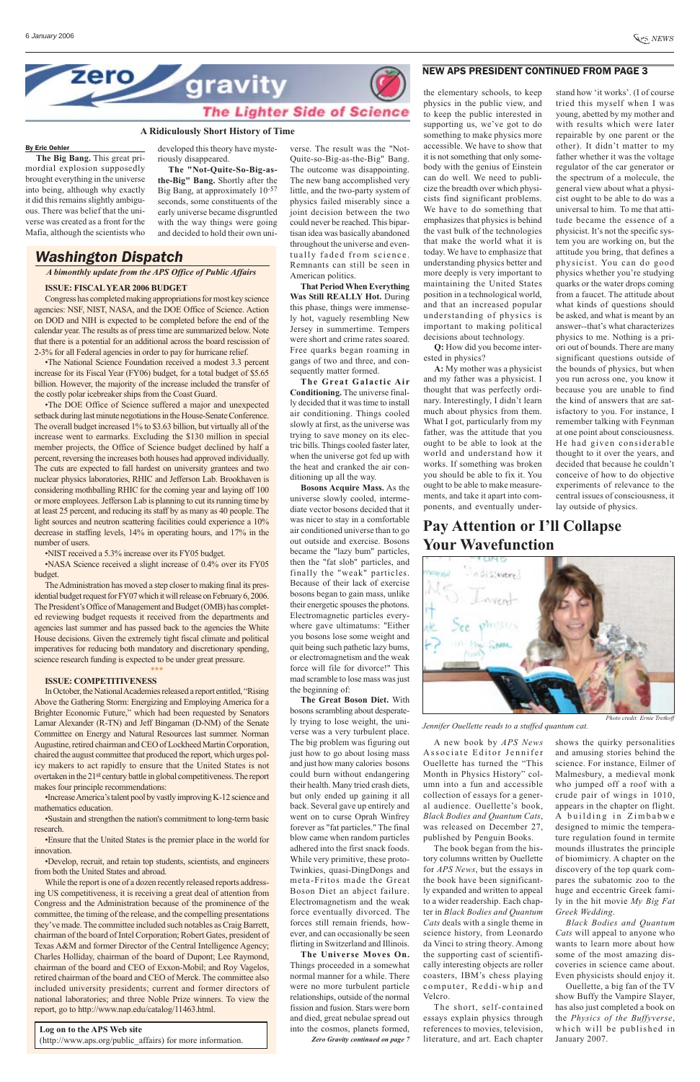



#### **A Ridiculously Short History of Time**

#### By Eric Oehler

**The Big Bang.** This great primordial explosion supposedly brought everything in the universe into being, although why exactly it did this remains slightly ambiguous. There was belief that the universe was created as a front for the Mafia, although the scientists who

developed this theory have mysteriously disappeared.

**The "Not-Quite-So-Big-asthe-Big" Bang.** Shortly after the Big Bang, at approximately  $10^{-57}$ seconds, some constituents of the early universe became disgruntled with the way things were going and decided to hold their own uni-

# **Pay Attention or I'll Collapse Your Wavefunction**



A new book by *APS News* Associate Editor Jennifer Ouellette has turned the "This Month in Physics History" column into a fun and accessible collection of essays for a general audience. Ouellette's book, *Black Bodies and Quantum Cats*, was released on December 27, published by Penguin Books. The book began from the history columns written by Ouellette for *APS News*, but the essays in the book have been significantly expanded and written to appeal to a wider readership. Each chapter in *Black Bodies and Quantum Cats* deals with a single theme in science history, from Leonardo da Vinci to string theory. Among the supporting cast of scientifically interesting objects are roller coasters, IBM's chess playing computer, Reddi-whip and Velcro.

The short, self-contained essays explain physics through references to movies, television, literature, and art. Each chapter

*Photo credit: Ernie Tretkoff*

*Jennifer Ouellette reads to a stuffed quantum cat.*

shows the quirky personalities and amusing stories behind the science. For instance, Eilmer of Malmesbury, a medieval monk who jumped off a roof with a crude pair of wings in 1010, appears in the chapter on flight. A building in Zimbabwe designed to mimic the temperature regulation found in termite mounds illustrates the principle of biomimicry. A chapter on the discovery of the top quark compares the subatomic zoo to the huge and eccentric Greek family in the hit movie *My Big Fat Greek Wedding*. *Black Bodies and Quantum Cats* will appeal to anyone who wants to learn more about how some of the most amazing discoveries in science came about. Even physicists should enjoy it. Ouellette, a big fan of the TV show Buffy the Vampire Slayer, has also just completed a book on the *Physics of the Buffyverse*, which will be published in January 2007.

#### **ISSUE: FISCALYEAR 2006 BUDGET**

Congress has completed making appropriations for most key science agencies: NSF, NIST, NASA, and the DOE Office of Science. Action on DOD and NIH is expected to be completed before the end of the calendar year. The results as of press time are summarized below. Note that there is a potential for an additional across the board rescission of 2-3% for all Federal agencies in order to pay for hurricane relief.

•The National Science Foundation received a modest 3.3 percent increase for its Fiscal Year (FY06) budget, for a total budget of \$5.65 billion. However, the majority of the increase included the transfer of the costly polar icebreaker ships from the Coast Guard.

•The DOE Office of Science suffered a major and unexpected setback during last minute negotiations in the House-Senate Conference. The overall budget increased 1% to \$3.63 billion, but virtually all of the increase went to earmarks. Excluding the \$130 million in special member projects, the Office of Science budget declined by half a percent, reversing the increases both houses had approved individually. The cuts are expected to fall hardest on university grantees and two nuclear physics laboratories, RHIC and Jefferson Lab. Brookhaven is considering mothballing RHIC for the coming year and laying off 100 or more employees. Jefferson Lab is planning to cut its running time by at least 25 percent, and reducing its staff by as many as 40 people. The light sources and neutron scattering facilities could experience a 10% decrease in staffing levels, 14% in operating hours, and 17% in the number of users.

•NIST received a 5.3% increase over its FY05 budget.

•NASA Science received a slight increase of 0.4% over its FY05 budget.

The Administration has moved a step closer to making final its presidential budget request for FY07 which it will release on February 6, 2006. The President's Office of Management and Budget (OMB) has completed reviewing budget requests it received from the departments and agencies last summer and has passed back to the agencies the White House decisions. Given the extremely tight fiscal climate and political imperatives for reducing both mandatory and discretionary spending, science research funding is expected to be under great pressure.

\*\*\*

#### **ISSUE: COMPETITIVENESS**

In October, the National Academies released a report entitled, "Rising Above the Gathering Storm: Energizing and Employing America for a Brighter Economic Future," which had been requested by Senators Lamar Alexander (R-TN) and Jeff Bingaman (D-NM) of the Senate Committee on Energy and Natural Resources last summer. Norman Augustine, retired chairman and CEO of Lockheed Martin Corporation, chaired the august committee that produced the report, which urges policy makers to act rapidly to ensure that the United States is not overtaken in the 21st century battle in global competitiveness. The report makes four principle recommendations:

•Increase America's talent pool by vastly improving K-12 science and mathematics education.

•Sustain and strengthen the nation's commitment to long-term basic research.

•Ensure that the United States is the premier place in the world for innovation.

•Develop, recruit, and retain top students, scientists, and engineers from both the United States and abroad.

While the report is one of a dozen recently released reports addressing US competitiveness, it is receiving a great deal of attention from Congress and the Administration because of the prominence of the committee, the timing of the release, and the compelling presentations they've made. The committee included such notables as Craig Barrett, chairman of the board of Intel Corporation; Robert Gates, president of Texas A&M and former Director of the Central Intelligence Agency; Charles Holliday, chairman of the board of Dupont; Lee Raymond, chairman of the board and CEO of Exxon-Mobil; and Roy Vagelos, retired chairman of the board and CEO of Merck. The committee also included university presidents; current and former directors of national laboratories; and three Noble Prize winners. To view the report, go to http://www.nap.edu/catalog/11463.html.

#### **Log on to the APS Web site**

(http://www.aps.org/public\_affairs) for more information.

*Washington Dispatch*

*A bimonthly update from the APS Office of Public Affairs*

the elementary schools, to keep physics in the public view, and to keep the public interested in supporting us, we've got to do something to make physics more accessible. We have to show that it is not something that only somebody with the genius of Einstein can do well. We need to publicize the breadth over which physicists find significant problems. We have to do something that emphasizes that physics is behind the vast bulk of the technologies that make the world what it is today. We have to emphasize that understanding physics better and more deeply is very important to maintaining the United States position in a technological world, and that an increased popular understanding of physics is important to making political decisions about technology.

**Q:** How did you become interested in physics?

**A:** My mother was a physicist and my father was a physicist. I thought that was perfectly ordinary. Interestingly, I didn't learn much about physics from them. What I got, particularly from my father, was the attitude that you ought to be able to look at the world and understand how it works. If something was broken you should be able to fix it. You ought to be able to make measurements, and take it apart into components, and eventually under-

#### NEW APS PRESIDENT CONTINUED FROM PAGE 3

stand how 'it works'. (I of course tried this myself when I was young, abetted by my mother and with results which were later repairable by one parent or the other). It didn't matter to my father whether it was the voltage regulator of the car generator or the spectrum of a molecule, the general view about what a physicist ought to be able to do was a universal to him. To me that attitude became the essence of a physicist. It's not the specific system you are working on, but the attitude you bring, that defines a physicist. You can do good physics whether you're studying quarks or the water drops coming from a faucet. The attitude about what kinds of questions should be asked, and what is meant by an answer--that's what characterizes physics to me. Nothing is a priori out of bounds. There are many significant questions outside of the bounds of physics, but when you run across one, you know it because you are unable to find the kind of answers that are satisfactory to you. For instance, I remember talking with Feynman at one point about consciousness. He had given considerable thought to it over the years, and decided that because he couldn't conceive of how to do objective experiments of relevance to the central issues of consciousness, it lay outside of physics.

*Zero Gravity continued on page 7* **The Great Boson Diet.** With bosons scrambling about desperately trying to lose weight, the universe was a very turbulent place. The big problem was figuring out just how to go about losing mass and just how many calories bosons could burn without endangering their health. Many tried crash diets, but only ended up gaining it all back. Several gave up entirely and went on to curse Oprah Winfrey forever as "fat particles." The final blow came when random particles adhered into the first snack foods. While very primitive, these proto-Twinkies, quasi-DingDongs and meta-Fritos made the Great Boson Diet an abject failure. Electromagnetism and the weak force eventually divorced. The forces still remain friends, however, and can occasionally be seen flirting in Switzerland and Illinois. **The Universe Moves On.** Things proceeded in a somewhat normal manner for a while. There were no more turbulent particle relationships, outside of the normal fission and fusion. Stars were born and died, great nebulae spread out into the cosmos, planets formed,

verse. The result was the "Not-Quite-so-Big-as-the-Big" Bang. The outcome was disappointing. The new bang accomplished very little, and the two-party system of physics failed miserably since a joint decision between the two could never be reached. This bipartisan idea was basically abandoned throughout the universe and eventually faded from science. Remnants can still be seen in American politics.

**That Period When Everything Was Still REALLY Hot.** During this phase, things were immensely hot, vaguely resembling New Jersey in summertime. Tempers were short and crime rates soared. Free quarks began roaming in gangs of two and three, and consequently matter formed.

**The Great Galactic Air Conditioning.** The universe finally decided that it was time to install air conditioning. Things cooled slowly at first, as the universe was trying to save money on its electric bills. Things cooled faster later, when the universe got fed up with the heat and cranked the air conditioning up all the way.

**Bosons Acquire Mass.** As the universe slowly cooled, intermediate vector bosons decided that it was nicer to stay in a comfortable air conditioned universe than to go out outside and exercise. Bosons became the "lazy bum" particles, then the "fat slob" particles, and finally the "weak" particles. Because of their lack of exercise bosons began to gain mass, unlike their energetic spouses the photons. Electromagnetic particles everywhere gave ultimatums: "Either you bosons lose some weight and quit being such pathetic lazy bums, or electromagnetism and the weak force will file for divorce!" This mad scramble to lose mass was just the beginning of: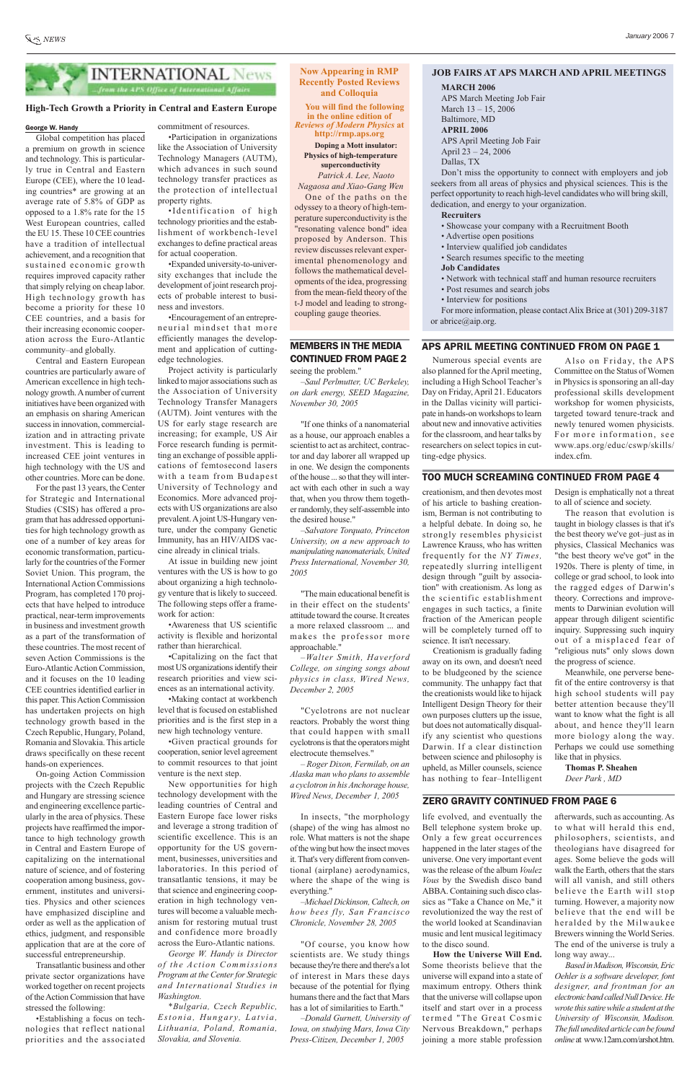

#### **Now Appearing in RMP Recently Posted Reviews and Colloquia**

**You will find the following in the online edition of**  *Reviews of Modern Physics* **at http://rmp.aps.org**

**Doping a Mott insulator: Physics of high-temperature superconductivity** 

*Patrick A. Lee, Naoto Nagaosa and Xiao-Gang Wen* One of the paths on the odyssey to a theory of high-temperature superconductivity is the "resonating valence bond" idea proposed by Anderson. This review discusses relevant experimental phenomenology and follows the mathematical developments of the idea, progressing from the mean-field theory of the t-J model and leading to strongcoupling gauge theories.

#### **JOB FAIRS AT APS MARCH AND APRIL MEETINGS**

For more information, please contact Alix Brice at (301) 209-3187 or abrice@aip.org.

#### APS APRIL MEETING CONTINUED FROM ON PAGE 1

#### **MARCH 2006**

APS March Meeting Job Fair March 13 – 15, 2006 Baltimore, MD **APRIL 2006** APS April Meeting Job Fair April 23 – 24, 2006 Dallas, TX

Don't miss the opportunity to connect with employers and job seekers from all areas of physics and physical sciences. This is the perfect opportunity to reach high-level candidates who will bring skill, dedication, and energy to your organization.

#### **Recruiters**

- Showcase your company with a Recruitment Booth
- Advertise open positions
- Interview qualified job candidates
- Search resumes specific to the meeting
- **Job Candidates**
- Network with technical staff and human resource recruiters
- Post resumes and search jobs
- Interview for positions

Numerous special events are also planned for the April meeting, including a High School Teacher's Day on Friday, April 21. Educators in the Dallas vicinity will participate in hands-on workshops to learn about new and innovative activities for the classroom, and hear talks by researchers on select topics in cutting-edge physics.

creationism, and then devotes most of his article to bashing creationism, Berman is not contributing to a helpful debate. In doing so, he strongly resembles physicist Lawrence Krauss, who has written frequently for the *NY Times,*  repeatedly slurring intelligent design through "guilt by association" with creationism. As long as the scientific establishment engages in such tactics, a finite fraction of the American people will be completely turned off to science. It isn't necessary.

Creationism is gradually fading away on its own, and doesn't need to be bludgeoned by the science community. The unhappy fact that the creationists would like to hijack Intelligent Design Theory for their own purposes clutters up the issue, but does not automatically disqualify any scientist who questions Darwin. If a clear distinction between science and philosophy is upheld, as Miller counsels, science has nothing to fear–Intelligent

#### TOO MUCH SCREAMING CONTINUED FROM PAGE 4

Design is emphatically not a threat to all of science and society.

The reason that evolution is taught in biology classes is that it's the best theory we've got–just as in physics, Classical Mechanics was "the best theory we've got" in the 1920s. There is plenty of time, in college or grad school, to look into the ragged edges of Darwin's theory. Corrections and improvements to Darwinian evolution will appear through diligent scientific inquiry. Suppressing such inquiry out of a misplaced fear of "religious nuts" only slows down the progress of science.

Meanwhile, one perverse benefit of the entire controversy is that high school students will pay better attention because they'll want to know what the fight is all about, and hence they'll learn more biology along the way. Perhaps we could use something like that in physics.

**Thomas P. Sheahen** *Deer Park , MD*

#### George W. Handy

Global competition has placed a premium on growth in science and technology. This is particularly true in Central and Eastern Europe (CEE), where the 10 leading countries\* are growing at an average rate of 5.8% of GDP as opposed to a 1.8% rate for the 15 West European countries, called the EU 15. These 10 CEE countries have a tradition of intellectual achievement, and a recognition that sustained economic growth requires improved capacity rather that simply relying on cheap labor. High technology growth has become a priority for these 10 CEE countries, and a basis for their increasing economic cooperation across the Euro-Atlantic community–and globally.

Central and Eastern European countries are particularly aware of American excellence in high technology growth. Anumber of current initiatives have been organized with an emphasis on sharing American success in innovation, commercialization and in attracting private investment. This is leading to increased CEE joint ventures in high technology with the US and other countries. More can be done.

For the past 13 years, the Center for Strategic and International Studies (CSIS) has offered a program that has addressed opportunities for high technology growth as one of a number of key areas for economic transformation, particularly for the countries of the Former Soviet Union. This program, the International Action Commissions Program, has completed 170 projects that have helped to introduce practical, near-term improvements in business and investment growth as a part of the transformation of these countries. The most recent of seven Action Commissions is the Euro-Atlantic Action Commission, and it focuses on the 10 leading CEE countries identified earlier in this paper. This Action Commission has undertaken projects on high technology growth based in the Czech Republic, Hungary, Poland, Romania and Slovakia. This article draws specifically on these recent hands-on experiences.

On-going Action Commission projects with the Czech Republic and Hungary are stressing science and engineering excellence particularly in the area of physics. These projects have reaffirmed the importance to high technology growth in Central and Eastern Europe of capitalizing on the international nature of science, and of fostering cooperation among business, government, institutes and universities. Physics and other sciences have emphasized discipline and order as well as the application of ethics, judgment, and responsible application that are at the core of successful entrepreneurship.

Transatlantic business and other private sector organizations have worked together on recent projects of the Action Commission that have stressed the following:

•Establishing a focus on technologies that reflect national priorities and the associated commitment of resources.

•Participation in organizations like the Association of University Technology Managers (AUTM), which advances in such sound technology transfer practices as the protection of intellectual property rights.

•Identification of high technology priorities and the establishment of workbench-level exchanges to define practical areas for actual cooperation.

•Expanded university-to-university exchanges that include the development of joint research projects of probable interest to business and investors.

•Encouragement of an entrepreneurial mindset that more efficiently manages the development and application of cuttingedge technologies.

Project activity is particularly linked to major associations such as the Association of University Technology Transfer Managers (AUTM). Joint ventures with the US for early stage research are increasing; for example, US Air Force research funding is permitting an exchange of possible applications of femtosecond lasers with a team from Budapest University of Technology and Economics. More advanced projects with US organizations are also prevalent. Ajoint US-Hungary venture, under the company Genetic Immunity, has an HIV/AIDS vaccine already in clinical trials.

At issue in building new joint ventures with the US is how to go about organizing a high technology venture that is likely to succeed. The following steps offer a framework for action:

•Awareness that US scientific activity is flexible and horizontal rather than hierarchical.

•Capitalizing on the fact that most US organizations identify their research priorities and view sciences as an international activity.

•Making contact at workbench level that is focused on established priorities and is the first step in a new high technology venture.

•Given practical grounds for cooperation, senior level agreement to commit resources to that joint venture is the next step.

New opportunities for high technology development with the leading countries of Central and Eastern Europe face lower risks and leverage a strong tradition of scientific excellence. This is an opportunity for the US government, businesses, universities and laboratories. In this period of transatlantic tensions, it may be that science and engineering cooperation in high technology ventures will become a valuable mechanism for restoring mutual trust and confidence more broadly across the Euro-Atlantic nations.

*George W. Handy is Director of the Action Commissions Program at the Center for Strategic and International Studies in Washington.*

*\*Bulgaria, Czech Republic, Estonia, Hungary, Latvia, Lithuania, Poland, Romania, Slovakia, and Slovenia.* 

#### **High-Tech Growth a Priority in Central and Eastern Europe**

## MEMBERS IN THE MEDIA CONTINUED FROM PAGE 2

seeing the problem."

*–Saul Perlmutter, UC Berkeley, on dark energy, SEED Magazine, November 30, 2005*

"If one thinks of a nanomaterial as a house, our approach enables a scientist to act as architect, contractor and day laborer all wrapped up in one. We design the components of the house ... so that they will interact with each other in such a way that, when you throw them together randomly, they self-assemble into the desired house."

*–Salvatore Torquato, Princeton University, on a new approach to manipulating nanomaterials, United Press International, November 30, 2005*

"The main educational benefit is in their effect on the students' attitude toward the course. It creates a more relaxed classroom ... and makes the professor more approachable."

*–Walter Smith, Haverford College, on singing songs about physics in class, Wired News, December 2, 2005*

"Cyclotrons are not nuclear reactors. Probably the worst thing that could happen with small cyclotrons is that the operators might electrocute themselves."

*– Roger Dixon, Fermilab, on an Alaska man who plans to assemble a cyclotron in his Anchorage house,*

*Wired News, December 1, 2005*

In insects, "the morphology (shape) of the wing has almost no role. What matters is not the shape of the wing but how the insect moves it. That's very different from conventional (airplane) aerodynamics, where the shape of the wing is everything."

*–Michael Dickinson, Caltech, on how bees fly, San Francisco Chronicle, November 28, 2005*

"Of course, you know how scientists are. We study things because they're there and there's a lot of interest in Mars these days because of the potential for flying humans there and the fact that Mars has a lot of similarities to Earth."

*–Donald Gurnett, University of Iowa, on studying Mars, Iowa City Press-Citizen, December 1, 2005*

life evolved, and eventually the Bell telephone system broke up. Only a few great occurrences happened in the later stages of the universe. One very important event was the release of the album *Voulez Vous* by the Swedish disco band ABBA. Containing such disco classics as "Take a Chance on Me," it revolutionized the way the rest of the world looked at Scandinavian music and lent musical legitimacy to the disco sound.

**How the Universe Will End.** Some theorists believe that the universe will expand into a state of maximum entropy. Others think that the universe will collapse upon itself and start over in a process termed "The Great Cosmic Nervous Breakdown," perhaps joining a more stable profession

#### ZERO GRAVITY CONTINUED FROM PAGE 6

Also on Friday, the APS Committee on the Status of Women in Physics is sponsoring an all-day professional skills development workshop for women physicists, targeted toward tenure-track and newly tenured women physicists. For more information, see www.aps.org/educ/cswp/skills/ index.cfm.

afterwards, such as accounting. As to what will herald this end, philosophers, scientists, and theologians have disagreed for ages. Some believe the gods will walk the Earth, others that the stars will all vanish, and still others believe the Earth will stop turning. However, a majority now believe that the end will be heralded by the Milwaukee Brewers winning the World Series. The end of the universe is truly a long way away...

*Based in Madison, Wisconsin, Eric Oehler is a software developer, font designer, and frontman for an electronic band called Null Device. He wrote this satire while a student at the University of Wisconsin, Madison. The full unedited article can be found online* at www.12am.com/arshot.htm.